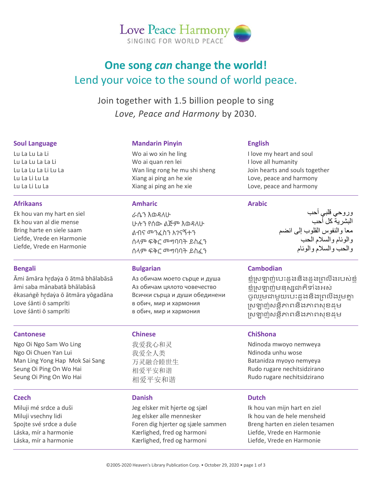

# **One song** *can* **change the world!** Lend your voice to the sound of world peace.

Join together with 1.5 billion people to sing *Love, Peace and Harmony* by 2030.

### **Soul Language**

Lu La Lu La Li Lu La Lu La La Li Lu La Lu La Li Lu La Lu La Li Lu La Lu La Li Lu La

### **Afrikaans**

Ek hou van my hart en siel Ek hou van al die mense Bring harte en siele saam Liefde, Vrede en Harmonie Liefde, Vrede en Harmonie

### **Bengali**

Āmi āmāra hr̥ daẏa ō ātmā bhālabāsā āmi saba mānabatā bhālabāsā ēkasaṅgē hr̥ daẏa ō ātmāra yōgadāna Love śānti ō samprīti Love śānti ō samprīti

#### **Cantonese**

Ngo Oi Ngo Sam Wo Ling Ngo Oi Chuen Yan Lui Man Ling Yong Hap Mok Sai Sang Seung Oi Ping On Wo Hai Seung Oi Ping On Wo Hai

### **Czech**

Miluji mé srdce a duši Miluji vsechny lidi Spojte své srdce a duše Láska, mír a harmonie Láska, mír a harmonie

### **Mandarin Pinyin**

Wo ai wo xin he ling Wo ai quan ren lei Wan ling rong he mu shi sheng Xiang ai ping an he xie Xiang ai ping an he xie

### **Amharic**

ራሴን እወዳለሁ ሁሉን የሰው ልጅም እወዳለሁ ልብና መንፈስን አገናኝተን ሰላም ፍቅር መግባባት ይስፈን ሰላም ፍቅር መግባባት ይስፈን

### **Bulgarian**

Аз обичам моето сърце и душа Аз обичам цялото човечество Всички сърца и души обединени в обич, мир и хармония в обич, мир и хармония

### **Chinese**

我爱我心和灵 我爱全人类 万灵融合睦世生 相爱平安和谐 相爱平安和谐

# **Danish**

Jeg elsker mit hjerte og sjæl Jeg elsker alle mennesker Foren dig hjerter og sjæle sammen Kærlighed, fred og harmoni Kærlighed, fred og harmoni

### **English**

I love my heart and soul I love all humanity Join hearts and souls together Love, peace and harmony Love, peace and harmony

### **Arabic**

وروحي قلبي أحب البشریة كل أحب معا والنفوس القلوب إلى انضم والوئام والسلام الحب والحب والسلام والوئام

### **Cambodian**

ខ្ញុំស្រឡាញ់បេះដូងនិងដួងព្រលឹងរបស់ខ្ញុំ ខ្ញុំស្រឡាញ់មនុស្សដាកិទាំងអស់ ចូលរួមដាមួយបេះដូងនិងព្រលឹងរួមគ្នា ស្រឡាញ់សន្និភាពនិងភាពសុខដុម ស្រឡាញ់សន្និភាពនិងភាពសខដម

# **ChiShona**

Ndinoda mwoyo nemweya Ndinoda unhu wose Batanidza myoyo nemyeya Rudo rugare nechitsidzirano Rudo rugare nechitsidzirano

# **Dutch**

Ik hou van mijn hart en ziel Ik hou van de hele mensheid Breng harten en zielen tesamen Liefde, Vrede en Harmonie Liefde, Vrede en Harmonie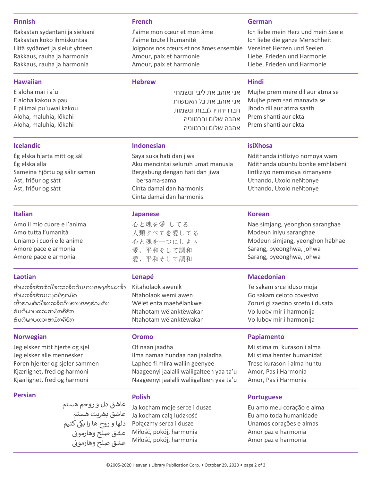### **Finnish**

Rakastan sydäntäni ja sieluani Rakastan koko ihmiskuntaa Liitä sydämet ja sielut yhteen Rakkaus, rauha ja harmonia Rakkaus, rauha ja harmonia

### **Hawaiian**

E aloha mai i a`u E aloha kakou a pau E pilimai pu`uwai kakou Aloha, maluhia, lōkahi Aloha, maluhia, lōkahi

### **Icelandic**

Ég elska hjarta mitt og sál Ég elska alla Sameina hjörtu og sálir saman Ást, friður og sátt Ást, friður og sátt

### **Italian**

Amo il mio cuore e l'anima Amo tutta l'umanità Uniamo i cuori e le anime Amore pace e armonia Amore pace e armonia

### **Laotian**

ຂ້າພະເຈົ້າຮັກຫົວໃຈແລະຈິດວິນຍານຂອງຂ້າພະເຈົ້າ ຂ້າພະເຈົ້າຮັກມະນຸດທັງຫມົດ ເຂົ້າຮ່ວມຫົວໃຈແລະຈິດວິນຍານຂອງຮ່ວມກັນ ສັນຕິພາບແລະສາມັກຄີຮັກ ຮັນຕິພາບແລະສາມັກຄີຮັກ

### **Norwegian**

Jeg elsker mitt hjerte og sjel Jeg elsker alle mennesker Foren hjerter og sjeler sammen Kjærlighet, fred og harmoni Kjærlighet, fred og harmoni

### **Persian**

عاشق دل و روحم هستم شعاشق بشريت هستم دلها و روح ها را يکی کنيم<br>عشق صلح مهادموز عشق صلح وهارموی ن عشق صلح وهارموی

### **French**

J'aime mon cœur et mon âme J'aime toute l'humanité Joignons nos cœurs et nos âmes ensemble Amour, paix et harmonie Amour, paix et harmonie

### **Hebrew**

אני אוהב את ליבי ונשמתי אני אוהב את כל האנושות חברו יחדיו לבבות ונשמות אהבה שלום והרמוניה אהבה שלום והרמוניה

### **Indonesian**

Saya suka hati dan jiwa Aku mencintai seluruh umat manusia Bergabung dengan hati dan jiwa bersama-sama Cinta damai dan harmonis Cinta damai dan harmonis

### **Japanese**

心と魂を愛 してる 人類すべてを愛してる 心と魂を一つにしよぅ 愛、平和そして調和 愛、平和そして調和

### **Lenapé**

Kitaholaok awenik Ntaholaok wemi awen Wëlët enta maehëlankwe Ntahotam wëlanktëwakan Ntahotam wëlanktëwakan

### **Oromo**

Of naan jaadha Ilma namaa hundaa nan jaaladha Laphee fi miira waliin geenyee Naageenyi jaalalli waliigalteen yaa ta'u Naageenyi jaalalli waliigalteen yaa ta'u

# **Portuguese**

Eu amo meu coração e alma Eu amo toda humanidade Unamos corações e almas Amor paz e harmonia Amor paz e harmonia

#### **German**

Ich liebe mein Herz und mein Seele Ich liebe die ganze Menschheit Vereinet Herzen und Seelen Liebe, Frieden und Harmonie Liebe, Frieden und Harmonie

### **Hindi**

Mujhe prem mere dil aur atma se Mujhe prem sari manavta se Jhodo dil aur atma saath Prem shanti aur ekta Prem shanti aur ekta

### **isiXhosa**

Ndithanda intliziyo nomoya wam Ndithanda ubuntu bonke emhlabeni Iintliziyo nemimoya zimanyene Uthando, Uxolo neNtonye Uthando, Uxolo neNtonye

### **Korean**

Nae simjang, yeonghon saranghae Modeun inlyu saranghae Modeun simjang, yeonghon habhae Sarang, pyeonghwa, johwa Sarang, pyeonghwa, johwa

### **Macedonian**

Te sakam srce iduso moja Go sakam celoto covestvo Zoruzi gi zaedno srceto i dusata Vo luobv mir i harmonija Vo lubov mir i harmonija

### **Papiamento**

Mi stima mi kurason i alma Mi stima henter humanidat Trese kurason i alma huntu Amor, Pas i Harmonia Amor, Pas i Harmonia

# **Polish**

Ja kocham moje serce i dusze Ja kocham calą ludzkość Połączmy serca i dusze Miłość, pokój, harmonia Miłość, pokój, harmonia